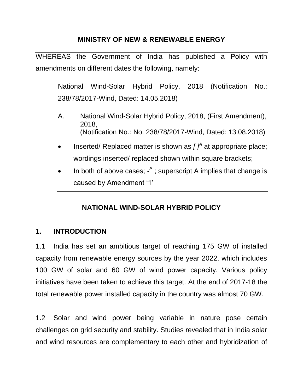#### **MINISTRY OF NEW & RENEWABLE ENERGY**

WHEREAS the Government of India has published a Policy with amendments on different dates the following, namely:

National Wind-Solar Hybrid Policy, 2018 (Notification No.: 238/78/2017-Wind, Dated: 14.05.2018)

- A. National Wind-Solar Hybrid Policy, 2018, (First Amendment), 2018, (Notification No.: No. 238/78/2017-Wind, Dated: 13.08.2018)
- Inserted/ Replaced matter is shown as  $\int_1^A$  at appropriate place; wordings inserted/ replaced shown within square brackets;
- In both of above cases;  $-$ <sup>A</sup>; superscript A implies that change is caused by Amendment '1'

### **NATIONAL WIND-SOLAR HYBRID POLICY**

#### **1. INTRODUCTION**

1.1 India has set an ambitious target of reaching 175 GW of installed capacity from renewable energy sources by the year 2022, which includes 100 GW of solar and 60 GW of wind power capacity. Various policy initiatives have been taken to achieve this target. At the end of 2017-18 the total renewable power installed capacity in the country was almost 70 GW.

1.2 Solar and wind power being variable in nature pose certain challenges on grid security and stability. Studies revealed that in India solar and wind resources are complementary to each other and hybridization of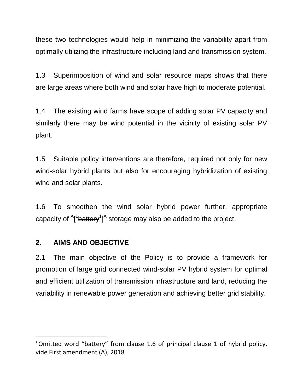these two technologies would help in minimizing the variability apart from optimally utilizing the infrastructure including land and transmission system.

1.3 Superimposition of wind and solar resource maps shows that there are large areas where both wind and solar have high to moderate potential.

1.4 The existing wind farms have scope of adding solar PV capacity and similarly there may be wind potential in the vicinity of existing solar PV plant.

1.5 Suitable policy interventions are therefore, required not only for new wind-solar hybrid plants but also for encouraging hybridization of existing wind and solar plants.

1.6 To smoothen the wind solar hybrid power further, appropriate capacity of  $A$ <sup>1</sup> $B$  attery<sup>1</sup> $A$ <sup> $A$ </sup> storage may also be added to the project.

### **2. AIMS AND OBJECTIVE**

 $\overline{a}$ 

2.1 The main objective of the Policy is to provide a framework for promotion of large grid connected wind-solar PV hybrid system for optimal and efficient utilization of transmission infrastructure and land, reducing the variability in renewable power generation and achieving better grid stability.

<sup>&</sup>lt;sup>1</sup> Omitted word "battery" from clause 1.6 of principal clause 1 of hybrid policy, vide First amendment (A), 2018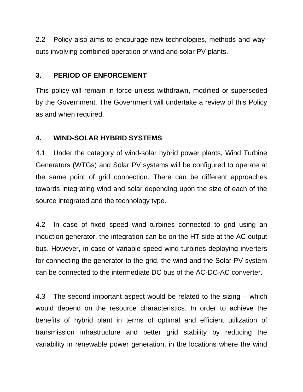2.2 Policy also aims to encourage new technologies, methods and wayouts involving combined operation of wind and solar PV plants.

## **3. PERIOD OF ENFORCEMENT**

This policy will remain in force unless withdrawn, modified or superseded by the Government. The Government will undertake a review of this Policy as and when required.

## **4. WIND-SOLAR HYBRID SYSTEMS**

4.1 Under the category of wind-solar hybrid power plants, Wind Turbine Generators (WTGs) and Solar PV systems will be configured to operate at the same point of grid connection. There can be different approaches towards integrating wind and solar depending upon the size of each of the source integrated and the technology type.

4.2 In case of fixed speed wind turbines connected to grid using an induction generator, the integration can be on the HT side at the AC output bus. However, in case of variable speed wind turbines deploying inverters for connecting the generator to the grid, the wind and the Solar PV system can be connected to the intermediate DC bus of the AC-DC-AC converter.

4.3 The second important aspect would be related to the sizing – which would depend on the resource characteristics. In order to achieve the benefits of hybrid plant in terms of optimal and efficient utilization of transmission infrastructure and better grid stability by reducing the variability in renewable power generation, in the locations where the wind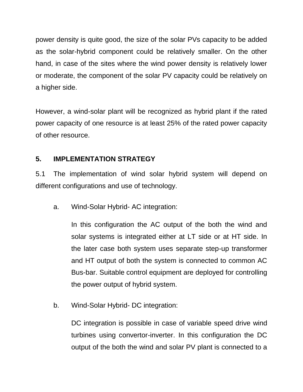power density is quite good, the size of the solar PVs capacity to be added as the solar-hybrid component could be relatively smaller. On the other hand, in case of the sites where the wind power density is relatively lower or moderate, the component of the solar PV capacity could be relatively on a higher side.

However, a wind-solar plant will be recognized as hybrid plant if the rated power capacity of one resource is at least 25% of the rated power capacity of other resource.

# **5. IMPLEMENTATION STRATEGY**

5.1 The implementation of wind solar hybrid system will depend on different configurations and use of technology.

a. Wind-Solar Hybrid- AC integration:

In this configuration the AC output of the both the wind and solar systems is integrated either at LT side or at HT side. In the later case both system uses separate step-up transformer and HT output of both the system is connected to common AC Bus-bar. Suitable control equipment are deployed for controlling the power output of hybrid system.

b. Wind-Solar Hybrid- DC integration:

DC integration is possible in case of variable speed drive wind turbines using convertor-inverter. In this configuration the DC output of the both the wind and solar PV plant is connected to a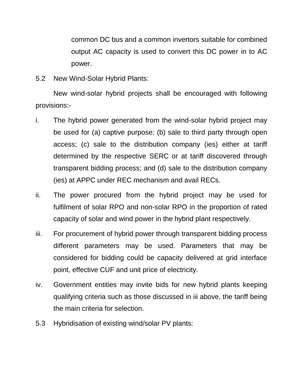common DC bus and a common invertors suitable for combined output AC capacity is used to convert this DC power in to AC power.

5.2 New Wind-Solar Hybrid Plants:

New wind-solar hybrid projects shall be encouraged with following provisions:-

- i. The hybrid power generated from the wind-solar hybrid project may be used for (a) captive purpose; (b) sale to third party through open access; (c) sale to the distribution company (ies) either at tariff determined by the respective SERC or at tariff discovered through transparent bidding process; and (d) sale to the distribution company (ies) at APPC under REC mechanism and avail RECs.
- ii. The power procured from the hybrid project may be used for fulfilment of solar RPO and non-solar RPO in the proportion of rated capacity of solar and wind power in the hybrid plant respectively.
- iii. For procurement of hybrid power through transparent bidding process different parameters may be used. Parameters that may be considered for bidding could be capacity delivered at grid interface point, effective CUF and unit price of electricity.
- iv. Government entities may invite bids for new hybrid plants keeping qualifying criteria such as those discussed in iii above, the tariff being the main criteria for selection.
- 5.3 Hybridisation of existing wind/solar PV plants: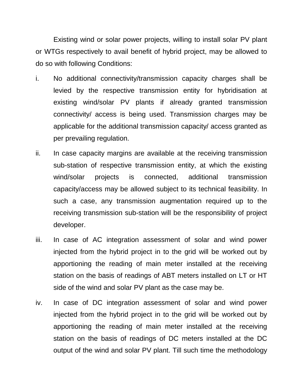Existing wind or solar power projects, willing to install solar PV plant or WTGs respectively to avail benefit of hybrid project, may be allowed to do so with following Conditions:

- i. No additional connectivity/transmission capacity charges shall be levied by the respective transmission entity for hybridisation at existing wind/solar PV plants if already granted transmission connectivity/ access is being used. Transmission charges may be applicable for the additional transmission capacity/ access granted as per prevailing regulation.
- ii. In case capacity margins are available at the receiving transmission sub-station of respective transmission entity, at which the existing wind/solar projects is connected, additional transmission capacity/access may be allowed subject to its technical feasibility. In such a case, any transmission augmentation required up to the receiving transmission sub-station will be the responsibility of project developer.
- iii. In case of AC integration assessment of solar and wind power injected from the hybrid project in to the grid will be worked out by apportioning the reading of main meter installed at the receiving station on the basis of readings of ABT meters installed on LT or HT side of the wind and solar PV plant as the case may be.
- iv. In case of DC integration assessment of solar and wind power injected from the hybrid project in to the grid will be worked out by apportioning the reading of main meter installed at the receiving station on the basis of readings of DC meters installed at the DC output of the wind and solar PV plant. Till such time the methodology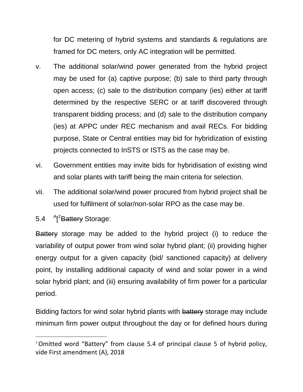for DC metering of hybrid systems and standards & regulations are framed for DC meters, only AC integration will be permitted.

- v. The additional solar/wind power generated from the hybrid project may be used for (a) captive purpose; (b) sale to third party through open access; (c) sale to the distribution company (ies) either at tariff determined by the respective SERC or at tariff discovered through transparent bidding process; and (d) sale to the distribution company (ies) at APPC under REC mechanism and avail RECs. For bidding purpose, State or Central entities may bid for hybridization of existing projects connected to InSTS or ISTS as the case may be.
- vi. Government entities may invite bids for hybridisation of existing wind and solar plants with tariff being the main criteria for selection.
- vii. The additional solar/wind power procured from hybrid project shall be used for fulfilment of solar/non-solar RPO as the case may be.
- $5.4$ [<sup>2</sup>Battery Storage:

 $\overline{a}$ 

Battery storage may be added to the hybrid project (i) to reduce the variability of output power from wind solar hybrid plant; (ii) providing higher energy output for a given capacity (bid/ sanctioned capacity) at delivery point, by installing additional capacity of wind and solar power in a wind solar hybrid plant; and (iii) ensuring availability of firm power for a particular period.

Bidding factors for wind solar hybrid plants with battery storage may include minimum firm power output throughout the day or for defined hours during

<sup>&</sup>lt;sup>2</sup> Omitted word "Battery" from clause 5.4 of principal clause 5 of hybrid policy, vide First amendment (A), 2018